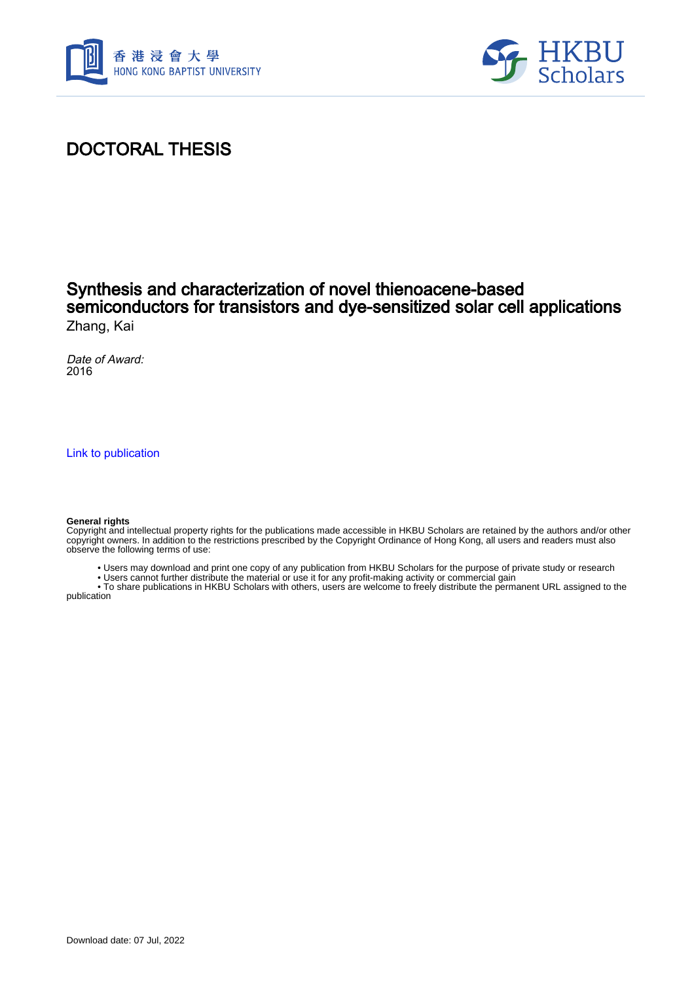



## DOCTORAL THESIS

## Synthesis and characterization of novel thienoacene-based semiconductors for transistors and dye-sensitized solar cell applications Zhang, Kai

Date of Award: 2016

[Link to publication](https://scholars.hkbu.edu.hk/en/studentTheses/3146ffe0-ac26-4911-a39b-fcebfbb9d342)

#### **General rights**

Copyright and intellectual property rights for the publications made accessible in HKBU Scholars are retained by the authors and/or other copyright owners. In addition to the restrictions prescribed by the Copyright Ordinance of Hong Kong, all users and readers must also observe the following terms of use:

- Users may download and print one copy of any publication from HKBU Scholars for the purpose of private study or research
- Users cannot further distribute the material or use it for any profit-making activity or commercial gain

 • To share publications in HKBU Scholars with others, users are welcome to freely distribute the permanent URL assigned to the publication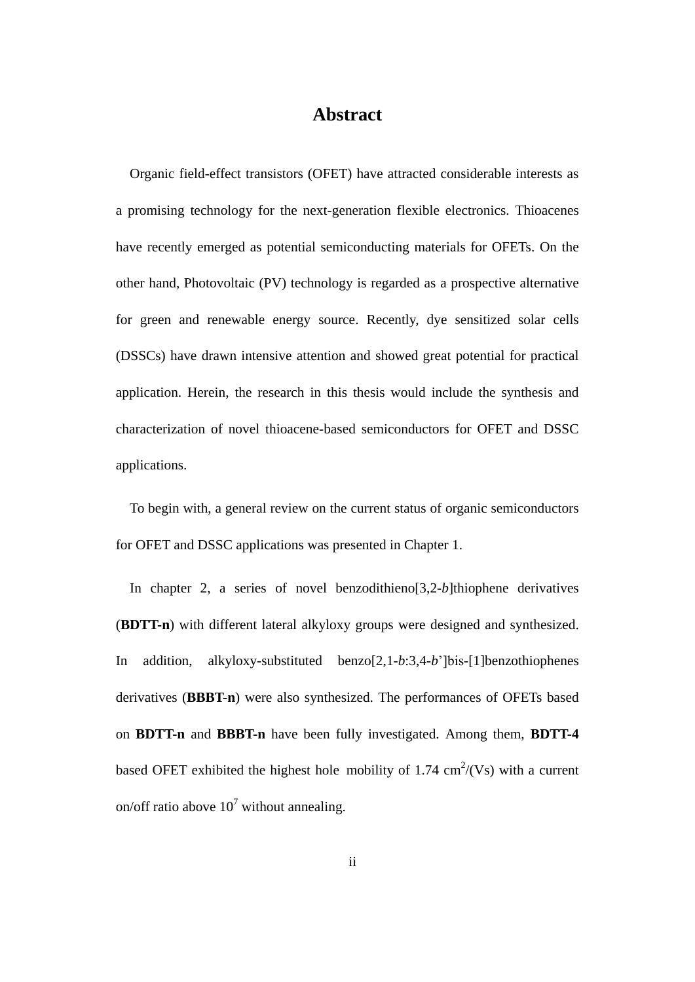## **Abstract**

<span id="page-1-0"></span>Organic field-effect transistors (OFET) have attracted considerable interests as a promising technology for the next-generation flexible electronics. Thioacenes have recently emerged as potential semiconducting materials for OFETs. On the other hand, Photovoltaic (PV) technology is regarded as a prospective alternative for green and renewable energy source. Recently, dye sensitized solar cells (DSSCs) have drawn intensive attention and showed great potential for practical application. Herein, the research in this thesis would include the synthesis and characterization of novel thioacene-based semiconductors for OFET and DSSC applications.

To begin with, a general review on the current status of organic semiconductors for OFET and DSSC applications was presented in Chapter 1.

In chapter 2, a series of novel benzodithieno[3,2-*b*]thiophene derivatives (**BDTT-n**) with different lateral alkyloxy groups were designed and synthesized. In addition, alkyloxy-substituted benzo[2,1-*b*:3,4-*b*']bis-[1]benzothiophenes derivatives (**BBBT-n**) were also synthesized. The performances of OFETs based on **BDTT-n** and **BBBT-n** have been fully investigated. Among them, **BDTT-4**  based OFET exhibited the highest hole mobility of 1.74  $\text{cm}^2/\text{(Vs)}$  with a current on/off ratio above  $10^7$  without annealing.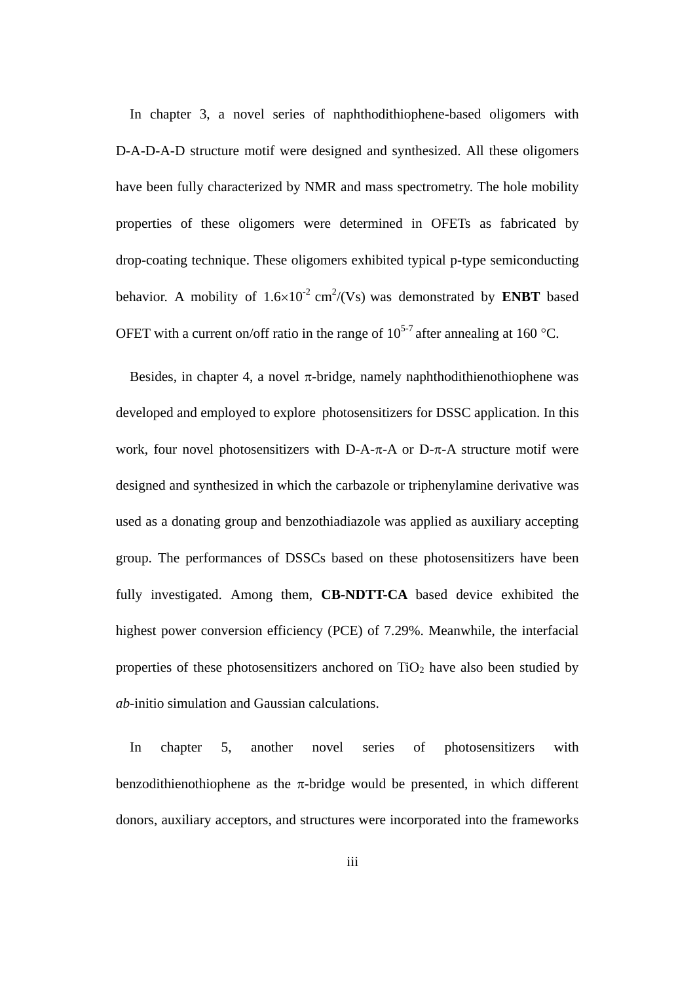In chapter 3, a novel series of naphthodithiophene-based oligomers with D-A-D-A-D structure motif were designed and synthesized. All these oligomers have been fully characterized by NMR and mass spectrometry. The hole mobility properties of these oligomers were determined in OFETs as fabricated by drop-coating technique. These oligomers exhibited typical p-type semiconducting behavior. A mobility of  $1.6 \times 10^{-2}$  cm<sup>2</sup>/(Vs) was demonstrated by **ENBT** based OFET with a current on/off ratio in the range of  $10^{5-7}$  after annealing at 160 °C.

Besides, in chapter 4, a novel  $\pi$ -bridge, namely naphthodithienothiophene was developed and employed to explore photosensitizers for DSSC application. In this work, four novel photosensitizers with D-A- $\pi$ -A or D- $\pi$ -A structure motif were designed and synthesized in which the carbazole or triphenylamine derivative was used as a donating group and benzothiadiazole was applied as auxiliary accepting group. The performances of DSSCs based on these photosensitizers have been fully investigated. Among them, **CB-NDTT-CA** based device exhibited the highest power conversion efficiency (PCE) of 7.29%. Meanwhile, the interfacial properties of these photosensitizers anchored on  $TiO<sub>2</sub>$  have also been studied by *ab*-initio simulation and Gaussian calculations.

In chapter 5, another novel series of photosensitizers with benzodithienothiophene as the  $\pi$ -bridge would be presented, in which different donors, auxiliary acceptors, and structures were incorporated into the frameworks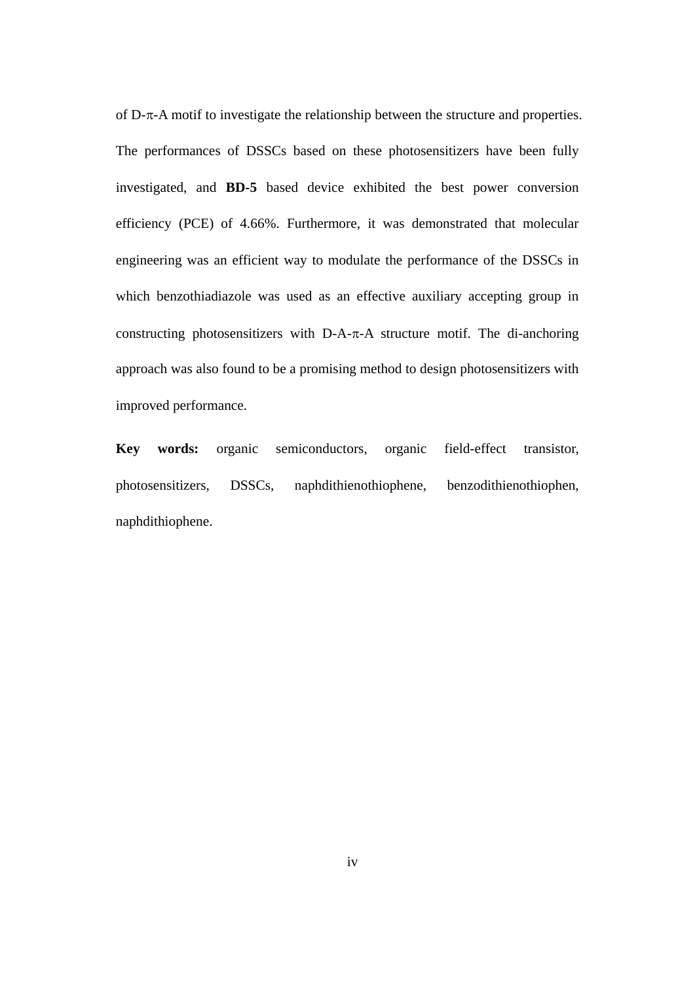of  $D$ - $\pi$ -A motif to investigate the relationship between the structure and properties. The performances of DSSCs based on these photosensitizers have been fully investigated, and **BD-5** based device exhibited the best power conversion efficiency (PCE) of 4.66%. Furthermore, it was demonstrated that molecular engineering was an efficient way to modulate the performance of the DSSCs in which benzothiadiazole was used as an effective auxiliary accepting group in constructing photosensitizers with D-A- $\pi$ -A structure motif. The di-anchoring approach was also found to be a promising method to design photosensitizers with improved performance.

**Key words:** organic semiconductors, organic field-effect transistor, photosensitizers, DSSCs, naphdithienothiophene, benzodithienothiophen, naphdithiophene.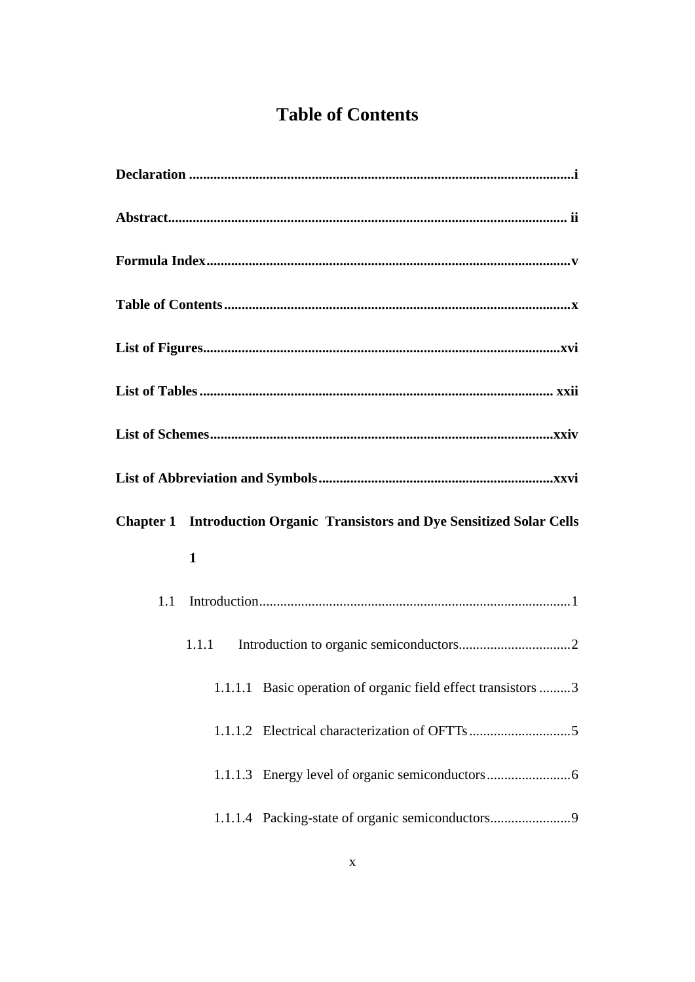# **Table of Contents**

<span id="page-4-0"></span>

|     | <b>Chapter 1 Introduction Organic Transistors and Dye Sensitized Solar Cells</b> |
|-----|----------------------------------------------------------------------------------|
|     | $\mathbf{1}$                                                                     |
| 1.1 |                                                                                  |
|     | 1.1.1                                                                            |
|     | 1.1.1.1 Basic operation of organic field effect transistors 3                    |
|     |                                                                                  |
|     |                                                                                  |
|     | 1.1.1.4 Packing-state of organic semiconductors                                  |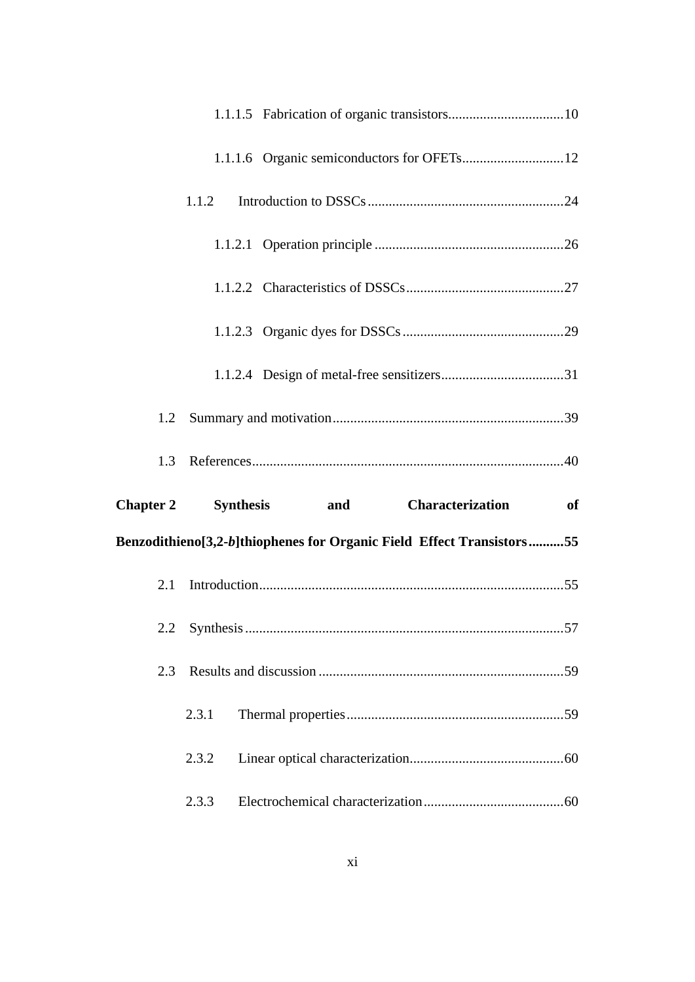|                  | 1.1.2         |                                                                       |
|------------------|---------------|-----------------------------------------------------------------------|
|                  |               |                                                                       |
|                  |               |                                                                       |
|                  |               |                                                                       |
|                  |               |                                                                       |
|                  |               |                                                                       |
|                  |               |                                                                       |
| 1.3              |               |                                                                       |
| <b>Chapter 2</b> |               | Synthesis and Characterization<br>of                                  |
|                  |               | Benzodithieno[3,2-b]thiophenes for Organic Field Effect Transistors55 |
| 2.1              |               |                                                                       |
|                  | 2.2 Synthesis | 57                                                                    |
| 2.3              |               |                                                                       |
|                  | 2.3.1         |                                                                       |
|                  | 2.3.2         |                                                                       |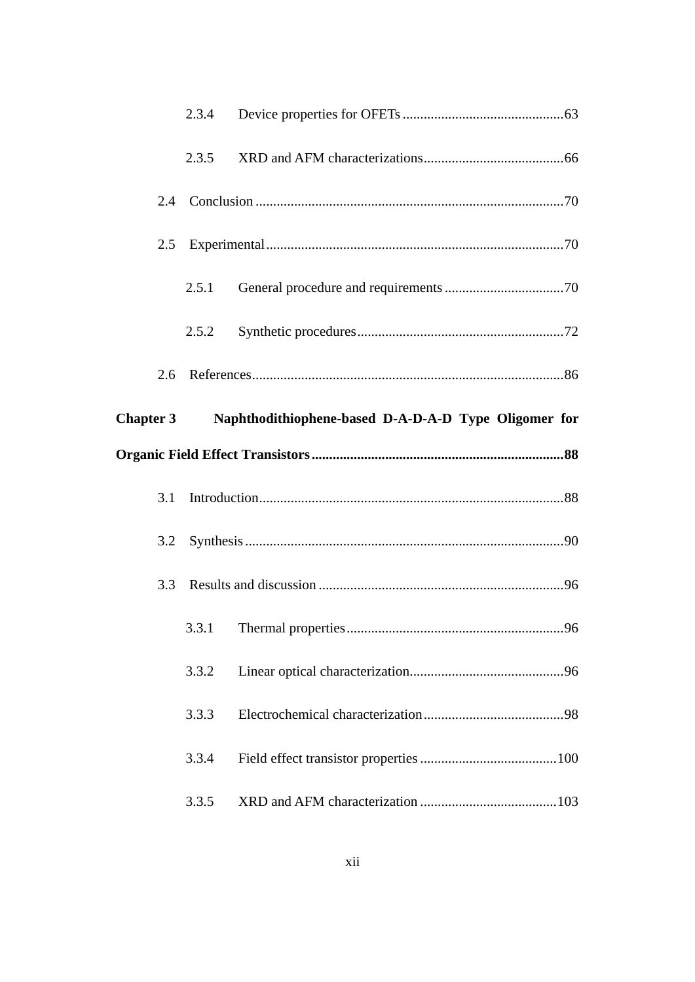|                  | 2.3.4 |                                                      |     |
|------------------|-------|------------------------------------------------------|-----|
|                  | 2.3.5 |                                                      |     |
| 2.4              |       |                                                      |     |
| 2.5              |       |                                                      |     |
|                  | 2.5.1 |                                                      |     |
|                  | 2.5.2 |                                                      |     |
| 2.6              |       |                                                      |     |
| <b>Chapter 3</b> |       | Naphthodithiophene-based D-A-D-A-D Type Oligomer for |     |
|                  |       |                                                      |     |
|                  |       |                                                      |     |
| 3.1              |       |                                                      |     |
| 3.2              |       |                                                      |     |
| 3.3              |       |                                                      |     |
|                  |       | 3.3.1 Thermal properties                             | .96 |
|                  | 3.3.2 |                                                      |     |
|                  | 3.3.3 |                                                      |     |
|                  | 3.3.4 |                                                      |     |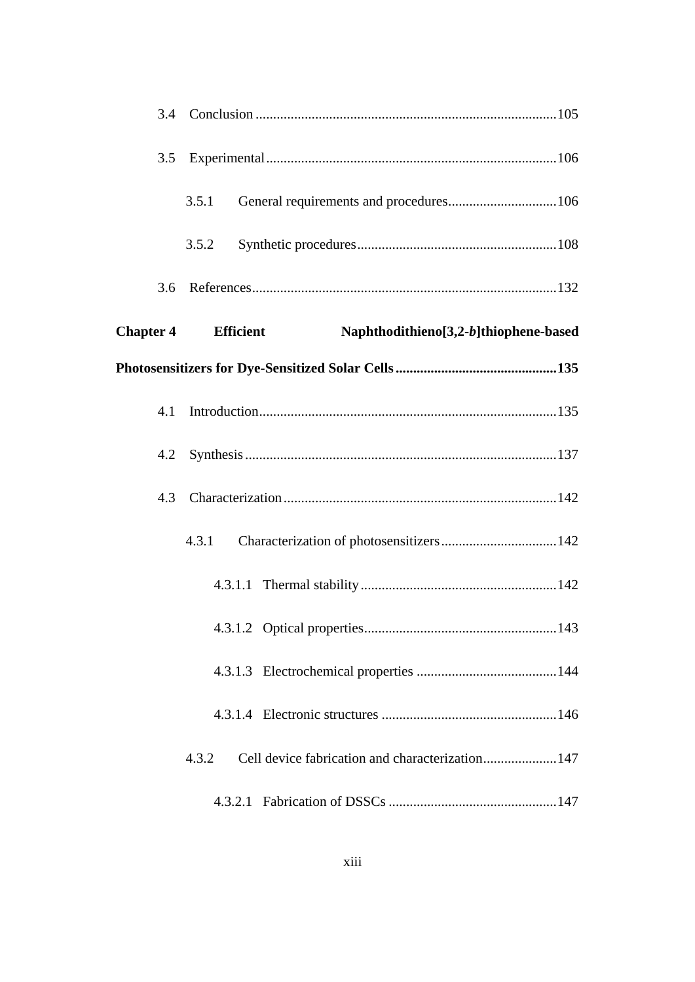| 3.5              |           |                                        |
|------------------|-----------|----------------------------------------|
|                  | 3.5.1     | General requirements and procedures106 |
|                  | 3.5.2     |                                        |
| 3.6              |           |                                        |
| <b>Chapter 4</b> | Efficient | Naphthodithieno[3,2-b]thiophene-based  |
|                  |           |                                        |
| 4.1              |           |                                        |
| 4.2              |           |                                        |
| 4.3              |           |                                        |
|                  | 4.3.1     |                                        |
|                  |           |                                        |
|                  |           |                                        |
|                  |           |                                        |
|                  |           |                                        |
|                  | 4.3.2     |                                        |
|                  |           |                                        |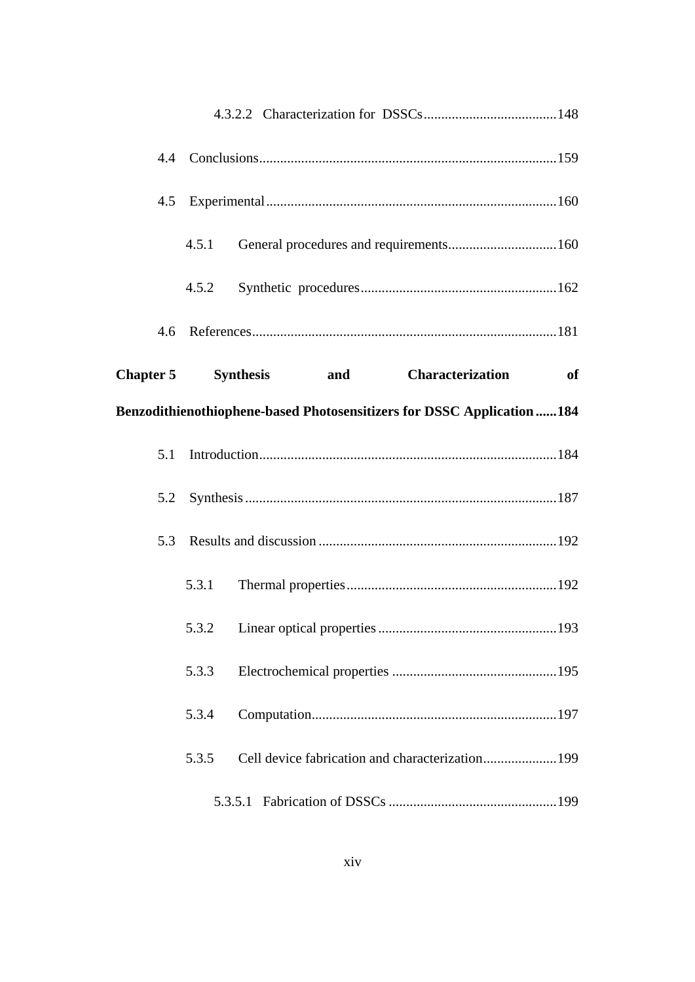|     | 4.5.1 |                                 |                         |                                                                         |
|-----|-------|---------------------------------|-------------------------|-------------------------------------------------------------------------|
|     | 4.5.2 |                                 |                         |                                                                         |
|     |       |                                 |                         |                                                                         |
|     |       | Chapter 5 Synthesis and         | <b>Characterization</b> | <sub>of</sub>                                                           |
|     |       |                                 |                         | Benzodithienothiophene-based Photosensitizers for DSSC Application  184 |
| 5.1 |       |                                 |                         |                                                                         |
| 5.2 |       |                                 |                         |                                                                         |
| 5.3 |       |                                 |                         |                                                                         |
|     | 5.3.1 |                                 |                         |                                                                         |
|     |       | 5.3.2 Linear optical properties |                         | 193                                                                     |
|     | 5.3.3 |                                 |                         |                                                                         |
|     | 5.3.4 |                                 |                         |                                                                         |
|     | 5.3.5 |                                 |                         |                                                                         |
|     |       |                                 |                         |                                                                         |